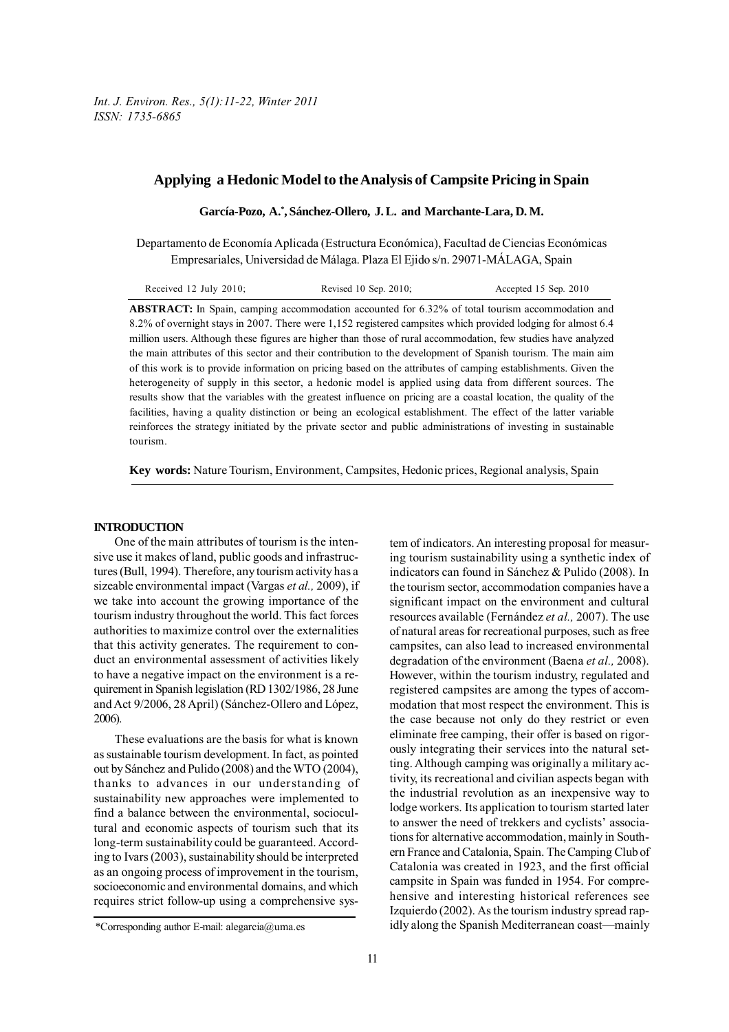# **Applying a Hedonic Model to the Analysis of Campsite Pricing in Spain**

**García-Pozo, A.\* , Sánchez-Ollero, J. L. and Marchante-Lara, D. M.**

Departamento de Economía Aplicada (Estructura Económica), Facultad de Ciencias Económicas Empresariales, Universidad de Málaga. Plaza El Ejido s/n. 29071-MÁLAGA, Spain

| Received $12$ July $2010$ ; | Revised 10 Sep. 2010; | Accepted 15 Sep. 2010 |
|-----------------------------|-----------------------|-----------------------|
|                             |                       |                       |

**ABSTRACT:** In Spain, camping accommodation accounted for 6.32% of total tourism accommodation and 8.2% of overnight stays in 2007. There were 1,152 registered campsites which provided lodging for almost 6.4 million users. Although these figures are higher than those of rural accommodation, few studies have analyzed the main attributes of this sector and their contribution to the development of Spanish tourism. The main aim of this work is to provide information on pricing based on the attributes of camping establishments. Given the heterogeneity of supply in this sector, a hedonic model is applied using data from different sources. The results show that the variables with the greatest influence on pricing are a coastal location, the quality of the facilities, having a quality distinction or being an ecological establishment. The effect of the latter variable reinforces the strategy initiated by the private sector and public administrations of investing in sustainable tourism.

**Key words:** Nature Tourism, Environment, Campsites, Hedonic prices, Regional analysis, Spain

#### **INTRODUCTION**

One of the main attributes of tourism is the intensive use it makes of land, public goods and infrastructures (Bull, 1994). Therefore, any tourism activity has a sizeable environmental impact (Vargas *et al.,* 2009), if we take into account the growing importance of the tourism industry throughout the world. This fact forces authorities to maximize control over the externalities that this activity generates. The requirement to conduct an environmental assessment of activities likely to have a negative impact on the environment is a requirement in Spanish legislation (RD 1302/1986, 28 June and Act 9/2006, 28 April) (Sánchez-Ollero and López, 2006).

These evaluations are the basis for what is known as sustainable tourism development. In fact, as pointed out by Sánchez and Pulido (2008) and the WTO (2004), thanks to advances in our understanding of sustainability new approaches were implemented to find a balance between the environmental, sociocultural and economic aspects of tourism such that its long-term sustainability could be guaranteed. According to Ivars (2003), sustainability should be interpreted as an ongoing process of improvement in the tourism, socioeconomic and environmental domains, and which requires strict follow-up using a comprehensive system of indicators. An interesting proposal for measuring tourism sustainability using a synthetic index of indicators can found in Sánchez & Pulido (2008). In the tourism sector, accommodation companies have a significant impact on the environment and cultural resources available (Fernández *et al.,* 2007). The use of natural areas for recreational purposes, such as free campsites, can also lead to increased environmental degradation of the environment (Baena *et al.,* 2008). However, within the tourism industry, regulated and registered campsites are among the types of accommodation that most respect the environment. This is the case because not only do they restrict or even eliminate free camping, their offer is based on rigorously integrating their services into the natural setting. Although camping was originally a military activity, its recreational and civilian aspects began with the industrial revolution as an inexpensive way to lodge workers. Its application to tourism started later to answer the need of trekkers and cyclists' associations for alternative accommodation, mainly in Southern France and Catalonia, Spain. The Camping Club of Catalonia was created in 1923, and the first official campsite in Spain was funded in 1954. For comprehensive and interesting historical references see Izquierdo (2002). As the tourism industry spread rapidly along the Spanish Mediterranean coast—mainly

<sup>\*</sup>Corresponding author E-mail: alegarcia@uma.es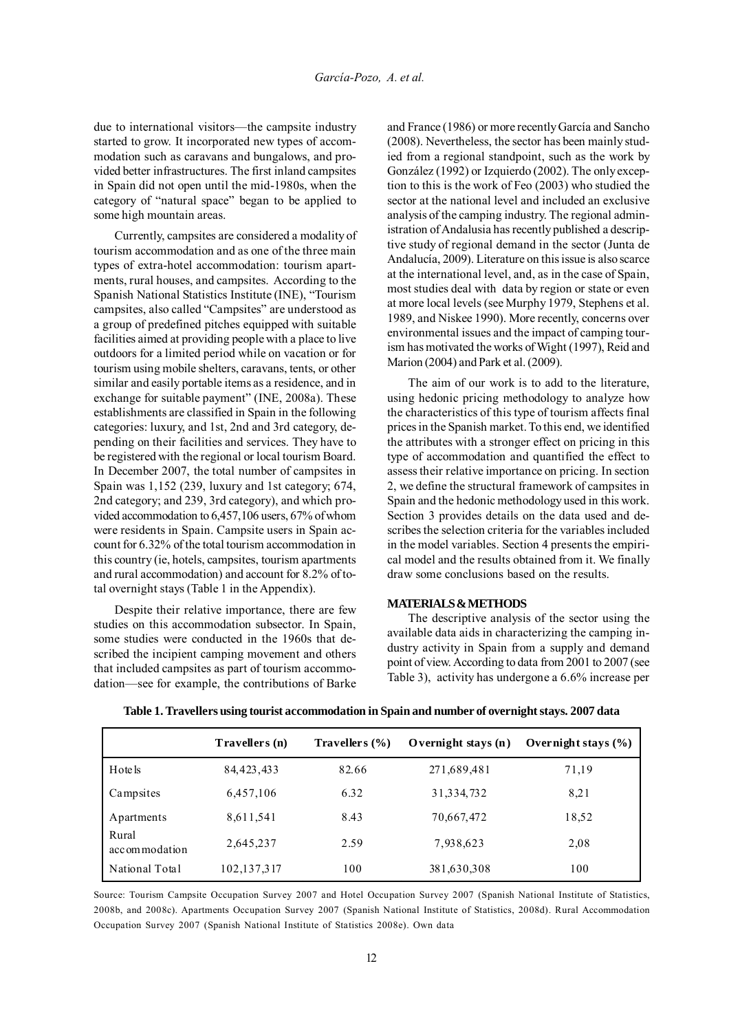due to international visitors—the campsite industry started to grow. It incorporated new types of accommodation such as caravans and bungalows, and provided better infrastructures. The first inland campsites in Spain did not open until the mid-1980s, when the category of "natural space" began to be applied to some high mountain areas.

Currently, campsites are considered a modality of tourism accommodation and as one of the three main types of extra-hotel accommodation: tourism apartments, rural houses, and campsites. According to the Spanish National Statistics Institute (INE), "Tourism campsites, also called "Campsites" are understood as a group of predefined pitches equipped with suitable facilities aimed at providing people with a place to live outdoors for a limited period while on vacation or for tourism using mobile shelters, caravans, tents, or other similar and easily portable items as a residence, and in exchange for suitable payment" (INE, 2008a). These establishments are classified in Spain in the following categories: luxury, and 1st, 2nd and 3rd category, depending on their facilities and services. They have to be registered with the regional or local tourism Board. In December 2007, the total number of campsites in Spain was 1,152 (239, luxury and 1st category; 674, 2nd category; and 239, 3rd category), and which provided accommodation to 6,457,106 users, 67% of whom were residents in Spain. Campsite users in Spain account for 6.32% of the total tourism accommodation in this country (ie, hotels, campsites, tourism apartments and rural accommodation) and account for 8.2% of total overnight stays (Table 1 in the Appendix).

Despite their relative importance, there are few studies on this accommodation subsector. In Spain, some studies were conducted in the 1960s that described the incipient camping movement and others that included campsites as part of tourism accommodation—see for example, the contributions of Barke and France (1986) or more recently García and Sancho (2008). Nevertheless, the sector has been mainly studied from a regional standpoint, such as the work by González (1992) or Izquierdo (2002). The only exception to this is the work of Feo (2003) who studied the sector at the national level and included an exclusive analysis of the camping industry. The regional administration of Andalusia has recently published a descriptive study of regional demand in the sector (Junta de Andalucía, 2009). Literature on this issue is also scarce at the international level, and, as in the case of Spain, most studies deal with data by region or state or even at more local levels (see Murphy 1979, Stephens et al. 1989, and Niskee 1990). More recently, concerns over environmental issues and the impact of camping tourism has motivated the works of Wight (1997), Reid and Marion (2004) and Park et al. (2009).

The aim of our work is to add to the literature, using hedonic pricing methodology to analyze how the characteristics of this type of tourism affects final prices in the Spanish market. To this end, we identified the attributes with a stronger effect on pricing in this type of accommodation and quantified the effect to assess their relative importance on pricing. In section 2, we define the structural framework of campsites in Spain and the hedonic methodology used in this work. Section 3 provides details on the data used and describes the selection criteria for the variables included in the model variables. Section 4 presents the empirical model and the results obtained from it. We finally draw some conclusions based on the results.

### **MATERIALS & METHODS**

The descriptive analysis of the sector using the available data aids in characterizing the camping industry activity in Spain from a supply and demand point of view. According to data from 2001 to 2007 (see Table 3), activity has undergone a 6.6% increase per

|                        | Travellers (n) | Travellers $(\% )$ | Overnight stays $(n)$ | Overnight stays $(\% )$ |
|------------------------|----------------|--------------------|-----------------------|-------------------------|
| Hote ls                | 84, 423, 433   | 82.66              | 271,689,481           | 71,19                   |
| Campsites              | 6,457,106      | 6.32               | 31, 334, 732          | 8,21                    |
| Apartments             | 8,611,541      | 8.43               | 70,667,472            | 18,52                   |
| Rural<br>accommodation | 2,645,237      | 2.59               | 7,938,623             | 2,08                    |
| National Total         | 102,137,317    | 100                | 381,630,308           | 100                     |

**Table 1. Travellers using tourist accommodation in Spain and number of overnight stays. 2007 data**

Source: Tourism Campsite Occupation Survey 2007 and Hotel Occupation Survey 2007 (Spanish National Institute of Statistics, 2008b, and 2008c). Apartments Occupation Survey 2007 (Spanish National Institute of Statistics, 2008d). Rural Accommodation Occupation Survey 2007 (Spanish National Institute of Statistics 2008e). Own data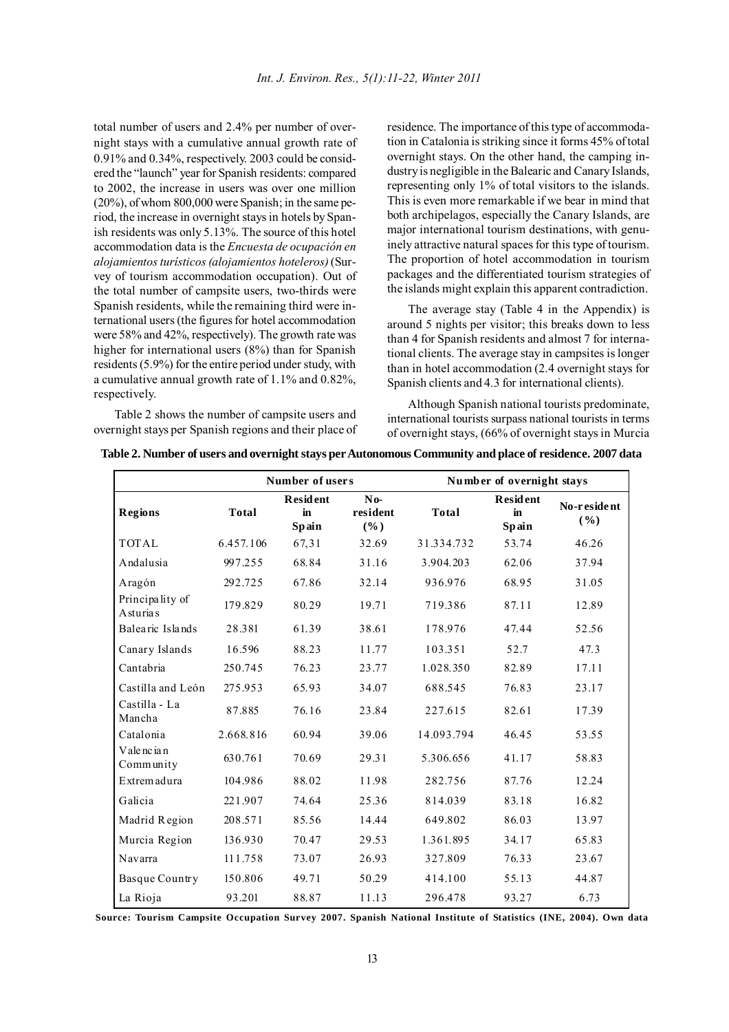total number of users and 2.4% per number of overnight stays with a cumulative annual growth rate of 0.91% and 0.34%, respectively. 2003 could be considered the "launch" year for Spanish residents: compared to 2002, the increase in users was over one million (20%), of whom 800,000 were Spanish; in the same period, the increase in overnight stays in hotels by Spanish residents was only 5.13%. The source of this hotel accommodation data is the *Encuesta de ocupación en alojamientos turísticos (alojamientos hoteleros)* (Survey of tourism accommodation occupation). Out of the total number of campsite users, two-thirds were Spanish residents, while the remaining third were international users (the figures for hotel accommodation were 58% and 42%, respectively). The growth rate was higher for international users (8%) than for Spanish residents (5.9%) for the entire period under study, with a cumulative annual growth rate of 1.1% and 0.82%, respectively.

Table 2 shows the number of campsite users and overnight stays per Spanish regions and their place of residence. The importance of this type of accommodation in Catalonia is striking since it forms 45% of total overnight stays. On the other hand, the camping industry is negligible in the Balearic and Canary Islands, representing only 1% of total visitors to the islands. This is even more remarkable if we bear in mind that both archipelagos, especially the Canary Islands, are major international tourism destinations, with genuinely attractive natural spaces for this type of tourism. The proportion of hotel accommodation in tourism packages and the differentiated tourism strategies of the islands might explain this apparent contradiction.

The average stay (Table 4 in the Appendix) is around 5 nights per visitor; this breaks down to less than 4 for Spanish residents and almost 7 for international clients. The average stay in campsites is longer than in hotel accommodation (2.4 overnight stays for Spanish clients and 4.3 for international clients).

Although Spanish national tourists predominate, international tourists surpass national tourists in terms of overnight stays, (66% of overnight stays in Murcia

|                                      |              | Number of users                |                          | Number of overnight stays |                                |                     |  |
|--------------------------------------|--------------|--------------------------------|--------------------------|---------------------------|--------------------------------|---------------------|--|
| <b>Regions</b>                       | <b>Total</b> | <b>Resident</b><br>in<br>Spain | $No-$<br>resident<br>(%) | <b>Total</b>              | <b>Resident</b><br>in<br>Spain | No-resident<br>( %) |  |
| <b>TOTAL</b>                         | 6.457.106    | 67,31                          | 32.69                    | 31.334.732                | 53.74                          | 46.26               |  |
| Andalusia                            | 997.255      | 68.84                          | 31.16                    | 3.904.203                 | 62.06                          | 37.94               |  |
| Aragón                               | 292.725      | 67.86                          | 32.14                    | 936.976                   | 68.95                          | 31.05               |  |
| Principality of<br><b>A</b> sturia s | 179.829      | 80.29                          | 19.71                    | 719.386                   | 87.11                          | 12.89               |  |
| Balearic Islands                     | 28.381       | 61.39                          | 38.61                    | 178.976                   | 47.44                          | 52.56               |  |
| Canary Islands                       | 16.596       | 88.23                          | 11.77                    | 103.351                   | 52.7                           | 47.3                |  |
| Cantabria                            | 250.745      | 76.23                          | 23.77                    | 1.028.350                 | 82.89                          | 17.11               |  |
| Castilla and León                    | 275.953      | 65.93                          | 34.07                    | 688.545                   | 76.83                          | 23.17               |  |
| Castilla - La<br>Mancha              | 87.885       | 76.16                          | 23.84                    | 227.615                   | 82.61                          | 17.39               |  |
| Catalonia                            | 2.668.816    | 60.94                          | 39.06                    | 14.093.794                | 46.45                          | 53.55               |  |
| Valencian<br>Community               | 630.761      | 70.69                          | 29.31                    | 5.306.656                 | 41.17                          | 58.83               |  |
| Extrem adura                         | 104.986      | 88.02                          | 11.98                    | 282.756                   | 87.76                          | 12.24               |  |
| Galicia                              | 221.907      | 74.64                          | 25.36                    | 814.039                   | 83.18                          | 16.82               |  |
| Madrid Region                        | 208.571      | 85.56                          | 14.44                    | 649.802                   | 86.03                          | 13.97               |  |
| Murcia Region                        | 136.930      | 70.47                          | 29.53                    | 1.361.895                 | 34.17                          | 65.83               |  |
| Navarra                              | 111.758      | 73.07                          | 26.93                    | 327.809                   | 76.33                          | 23.67               |  |
| Basque Country                       | 150.806      | 49.71                          | 50.29                    | 414.100                   | 55.13                          | 44.87               |  |
| La Rioja                             | 93.201       | 88.87                          | 11.13                    | 296.478                   | 93.27                          | 6.73                |  |

**Table 2. Number of users and overnight stays per Autonomous Community and place of residence. 2007 data**

**Source: Tourism Campsite Occupation Survey 2007. Spanish National Institute of Statistics (INE, 2004). Own data**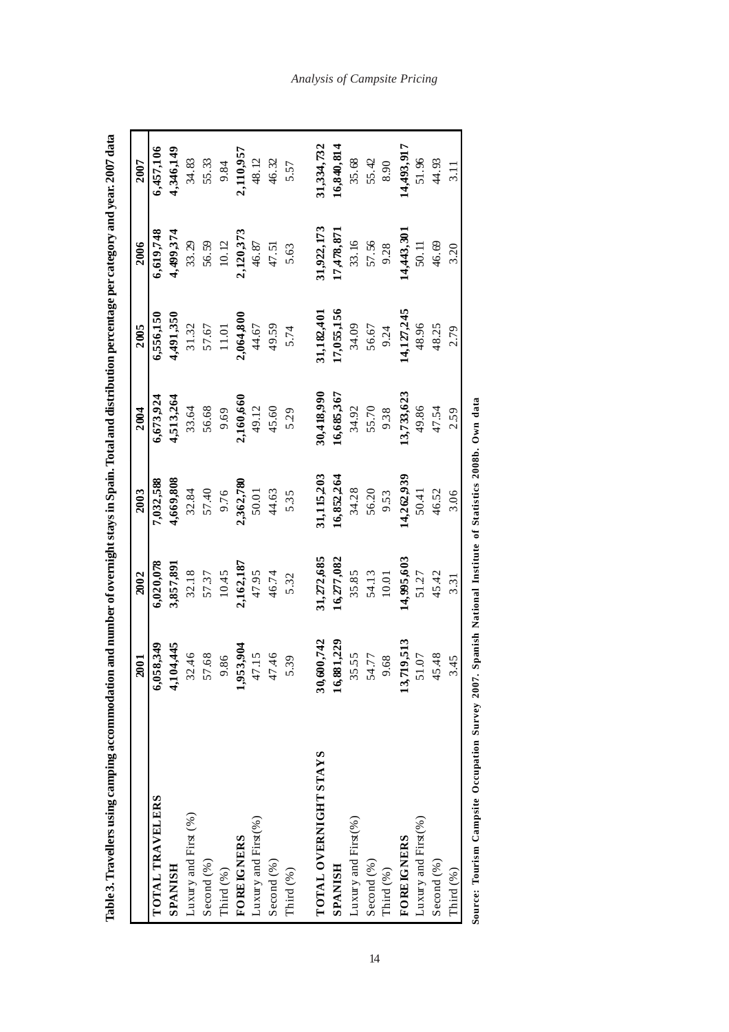|                                                                                                           | 2001           | 2002       | 2003       | 2004       | 2005       | 2006       | 2007       |
|-----------------------------------------------------------------------------------------------------------|----------------|------------|------------|------------|------------|------------|------------|
| TOTAL TRAVELERS                                                                                           | 6,058,349      | 6,020,078  | 7,032,588  | 6,673,924  | 6,556,150  | 6,619,748  | 6,457,106  |
| SPANISH                                                                                                   | 4,104,445      | 3,857,891  | 4,669,808  | 4,513,264  | 1,491,350  | 4,499,374  | 4,346,149  |
| Luxury and First (%)                                                                                      | 32.46          | 32.18      | 32.84      | 33.64      | 31.32      | 33.29      | 34.83      |
| Second (%)                                                                                                | 57.68          | 57.37      | 57.40      | 56.68      | 57.67      | 56.59      | 55.33      |
| Third (%)                                                                                                 | 9.86           | 10.45      | 9.76       | 9.69       | 11.01      | 10.12      | 9.84       |
| <b>FOREIGNERS</b>                                                                                         | 1,953,904      | 2,162,187  | 2,362,780  | 2,160,660  | 2,064,800  | 2,120,373  | 2,110,957  |
| Luxury and First(%)                                                                                       | 47.15          | 47.95      | 50.01      | 49.12      | 44.67      | 46.87      | 48.12      |
| Second $(\%$ )                                                                                            | 47.46          | 46.74      | 44.63      | 45.60      | 49.59      | 47.51      | 46.32      |
| Third (%)                                                                                                 | 5.39           | 5.32       | 5.35       | 5.29       | 5.74       | 5.63       | 5.57       |
|                                                                                                           |                |            |            |            |            |            |            |
| TOTAL OVERNIGHT STAYS                                                                                     | 600,742<br>30, | 31,272,685 | 31,115,203 | 30,418,990 | 31,182,401 | 31,922,173 | 31,334,732 |
| <b>SPANISH</b>                                                                                            | 881,229<br>16, | 16,277,082 | 16,852,264 | 16,685,367 | 17,055,156 | 17,478,871 | 16,840,814 |
| Luxury and First(%)                                                                                       | 35.55          | 35.85      | 34.28      | 34.92      | 34.09      | 33.16      | 35.68      |
| Second $(\%)$                                                                                             | 54.77          | 54.13      | 56.20      | 55.70      | 56.67      | 57.56      | 55.42      |
| Third (%)                                                                                                 | 9.68           | 10.01      | 9.53       | 9.38       | 9.24       | 9.28       | 8.90       |
| <b>FOREIGNERS</b>                                                                                         | 719,513<br>13, | 14,995,603 | 14,262,939 | 13,733,623 | 14,127,245 | 14,443,301 | 14,493,917 |
| Luxury and First $(\%$                                                                                    | 51.07          | 51.27      | 50.41      | 49.86      | 48.96      | 50.11      | 51.96      |
| Second (%)                                                                                                | 45.48          | 45.42      | 46.52      | 47.54      | 48.25      | 46.69      | 44.93      |
| Third (%)                                                                                                 | 3.45           | 3.31       | 3.06       | 2.59       | 2.79       | 3.20       | 3.11       |
| Source: Tourism Campsite Occupation Survey 2007. Spanish National Institute of Statistics 2008b. Own data |                |            |            |            |            |            |            |

*Analysis of Campsite Pricing*

14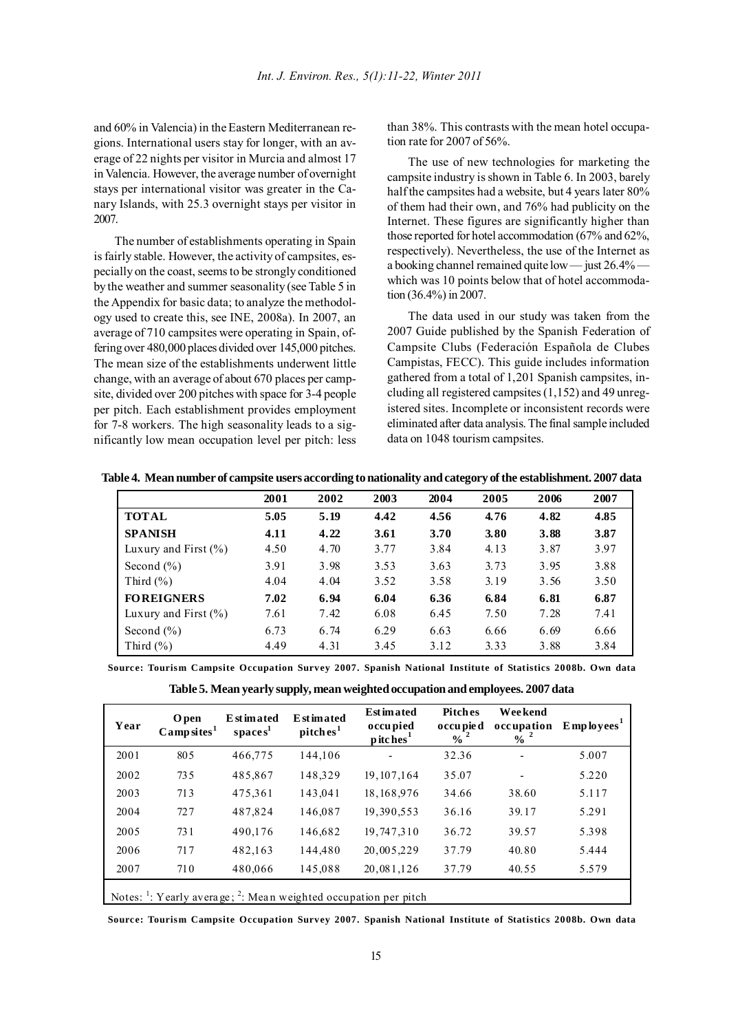and 60% in Valencia) in the Eastern Mediterranean regions. International users stay for longer, with an average of 22 nights per visitor in Murcia and almost 17 in Valencia. However, the average number of overnight stays per international visitor was greater in the Canary Islands, with 25.3 overnight stays per visitor in 2007.

The number of establishments operating in Spain is fairly stable. However, the activity of campsites, especially on the coast, seems to be strongly conditioned by the weather and summer seasonality (see Table 5 in the Appendix for basic data; to analyze the methodology used to create this, see INE, 2008a). In 2007, an average of 710 campsites were operating in Spain, offering over 480,000 places divided over 145,000 pitches. The mean size of the establishments underwent little change, with an average of about 670 places per campsite, divided over 200 pitches with space for 3-4 people per pitch. Each establishment provides employment for 7-8 workers. The high seasonality leads to a significantly low mean occupation level per pitch: less

than 38%. This contrasts with the mean hotel occupation rate for 2007 of 56%.

The use of new technologies for marketing the campsite industry is shown in Table 6. In 2003, barely half the campsites had a website, but 4 years later 80% of them had their own, and 76% had publicity on the Internet. These figures are significantly higher than those reported for hotel accommodation (67% and 62%, respectively). Nevertheless, the use of the Internet as a booking channel remained quite low — just 26.4% which was 10 points below that of hotel accommodation (36.4%) in 2007.

The data used in our study was taken from the 2007 Guide published by the Spanish Federation of Campsite Clubs (Federación Española de Clubes Campistas, FECC). This guide includes information gathered from a total of 1,201 Spanish campsites, including all registered campsites (1,152) and 49 unregistered sites. Incomplete or inconsistent records were eliminated after data analysis. The final sample included data on 1048 tourism campsites.

|                          | 2001 | 2002 | 2003 | 2004 | 2005 | 2006 | 2007 |
|--------------------------|------|------|------|------|------|------|------|
| <b>TOTAL</b>             | 5.05 | 5.19 | 4.42 | 4.56 | 4.76 | 4.82 | 4.85 |
| <b>SPANISH</b>           | 4.11 | 4.22 | 3.61 | 3.70 | 3.80 | 3.88 | 3.87 |
| Luxury and First $(\% )$ | 4.50 | 4.70 | 3.77 | 3.84 | 4.13 | 3.87 | 3.97 |
| Second $(\% )$           | 3.91 | 3.98 | 3.53 | 3.63 | 3.73 | 3.95 | 3.88 |
| Third $(\% )$            | 4.04 | 4.04 | 3.52 | 3.58 | 3.19 | 3.56 | 3.50 |
| <b>FOREIGNERS</b>        | 7.02 | 6.94 | 6.04 | 6.36 | 6.84 | 6.81 | 6.87 |
| Luxury and First $(\% )$ | 7.61 | 7.42 | 6.08 | 6.45 | 7.50 | 7.28 | 7.41 |
| Second $(\% )$           | 6.73 | 6.74 | 6.29 | 6.63 | 6.66 | 6.69 | 6.66 |
| Third $(\% )$            | 4.49 | 4.31 | 3.45 | 3.12 | 3.33 | 3.88 | 3.84 |

**Table 4. Mean number of campsite users according to nationality and category of the establishment. 2007 data**

**Source: Tourism Campsite Occupation Survey 2007. Spanish National Institute of Statistics 2008b. Own data**

**Table 5. Mean yearly supply, mean weighted occupation and employees. 2007 data**

| Year | <b>O</b> pen<br>Camp sites <sup>1</sup> | <b>E</b> st imated<br>spaces <sup>1</sup> | <b>Estimated</b><br>pitches <sup>1</sup> | <b>Est imated</b><br>occu pied<br>p itches <sup>1</sup>                                   | <b>Pitches</b><br>o ccu pie d<br>$\frac{9}{6}$ <sup>2</sup> | <b>Weekend</b><br>occupation<br>$\frac{9}{6}$ <sup>2</sup> | $E$ mp loyees <sup>1</sup> |
|------|-----------------------------------------|-------------------------------------------|------------------------------------------|-------------------------------------------------------------------------------------------|-------------------------------------------------------------|------------------------------------------------------------|----------------------------|
| 2001 | 805                                     | 466.775                                   | 144.106                                  |                                                                                           | 32.36                                                       | ٠                                                          | 5.007                      |
| 2002 | 735                                     | 485,867                                   | 148,329                                  | 19.107.164                                                                                | 35.07                                                       |                                                            | 5.220                      |
| 2003 | 713                                     | 475,361                                   | 143,041                                  | 18, 168, 976                                                                              | 34.66                                                       | 38.60                                                      | 5.117                      |
| 2004 | 727                                     | 487,824                                   | 146,087                                  | 19,390,553                                                                                | 36.16                                                       | 39.17                                                      | 5.291                      |
| 2005 | 731                                     | 490.176                                   | 146.682                                  | 19,747,310                                                                                | 36.72                                                       | 39.57                                                      | 5.398                      |
| 2006 | 717                                     | 482,163                                   | 144.480                                  | 20,005,229                                                                                | 37.79                                                       | 40.80                                                      | 5.444                      |
| 2007 | 710                                     | 480,066                                   | 145,088                                  | 20,081,126                                                                                | 37.79                                                       | 40.55                                                      | 5.579                      |
|      |                                         |                                           |                                          | Notes: $\frac{1}{1}$ : Yearly average; $\frac{2}{1}$ : Mean weighted occupation per pitch |                                                             |                                                            |                            |

**Source: Tourism Campsite Occupation Survey 2007. Spanish National Institute of Statistics 2008b. Own data**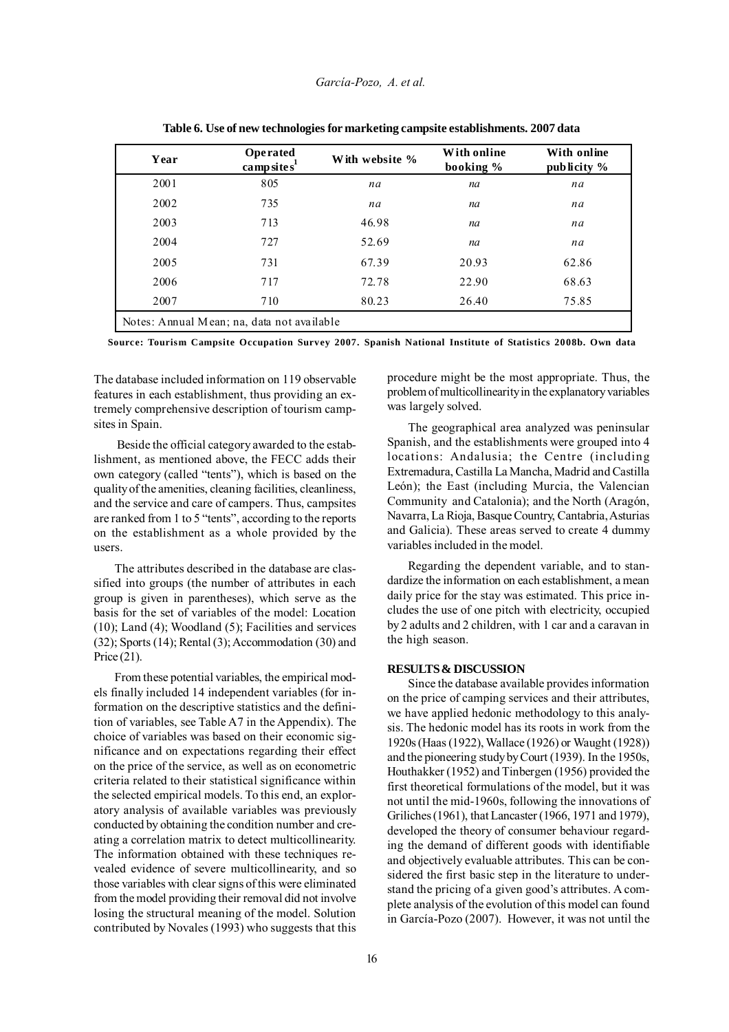| Year | <b>Operated</b><br>camp site $s^1$         | With website % | With online<br>booking % | With online<br>publicity $\%$ |  |  |  |  |  |
|------|--------------------------------------------|----------------|--------------------------|-------------------------------|--|--|--|--|--|
| 2001 | 805                                        | na             | na                       | na                            |  |  |  |  |  |
| 2002 | 735                                        | na             | na                       | na                            |  |  |  |  |  |
| 2003 | 713                                        | 46.98          | na                       | na                            |  |  |  |  |  |
| 2004 | 727                                        | 52.69          | na                       | na                            |  |  |  |  |  |
| 2005 | 731                                        | 67.39          | 20.93                    | 62.86                         |  |  |  |  |  |
| 2006 | 717                                        | 72.78          | 22.90                    | 68.63                         |  |  |  |  |  |
| 2007 | 710                                        | 80.23          | 26.40                    | 75.85                         |  |  |  |  |  |
|      | Notes: Annual Mean; na, data not available |                |                          |                               |  |  |  |  |  |

**Table 6. Use of new technologies for marketing campsite establishments. 2007 data**

**Source: Tourism Campsite Occupation Survey 2007. Spanish National Institute of Statistics 2008b. Own data**

The database included information on 119 observable features in each establishment, thus providing an extremely comprehensive description of tourism campsites in Spain.

 Beside the official category awarded to the establishment, as mentioned above, the FECC adds their own category (called "tents"), which is based on the quality of the amenities, cleaning facilities, cleanliness, and the service and care of campers. Thus, campsites are ranked from 1 to 5 "tents", according to the reports on the establishment as a whole provided by the users.

The attributes described in the database are classified into groups (the number of attributes in each group is given in parentheses), which serve as the basis for the set of variables of the model: Location (10); Land (4); Woodland (5); Facilities and services (32); Sports (14); Rental (3); Accommodation (30) and Price (21).

From these potential variables, the empirical models finally included 14 independent variables (for information on the descriptive statistics and the definition of variables, see Table A7 in the Appendix). The choice of variables was based on their economic significance and on expectations regarding their effect on the price of the service, as well as on econometric criteria related to their statistical significance within the selected empirical models. To this end, an exploratory analysis of available variables was previously conducted by obtaining the condition number and creating a correlation matrix to detect multicollinearity. The information obtained with these techniques revealed evidence of severe multicollinearity, and so those variables with clear signs of this were eliminated from the model providing their removal did not involve losing the structural meaning of the model. Solution contributed by Novales (1993) who suggests that this procedure might be the most appropriate. Thus, the problem of multicollinearity in the explanatory variables was largely solved.

The geographical area analyzed was peninsular Spanish, and the establishments were grouped into 4 locations: Andalusia; the Centre (including Extremadura, Castilla La Mancha, Madrid and Castilla León); the East (including Murcia, the Valencian Community and Catalonia); and the North (Aragón, Navarra, La Rioja, Basque Country, Cantabria, Asturias and Galicia). These areas served to create 4 dummy variables included in the model.

Regarding the dependent variable, and to standardize the information on each establishment, a mean daily price for the stay was estimated. This price includes the use of one pitch with electricity, occupied by 2 adults and 2 children, with 1 car and a caravan in the high season.

# **RESULTS & DISCUSSION**

Since the database available provides information on the price of camping services and their attributes, we have applied hedonic methodology to this analysis. The hedonic model has its roots in work from the 1920s (Haas (1922), Wallace (1926) or Waught (1928)) and the pioneering study by Court (1939). In the 1950s, Houthakker (1952) and Tinbergen (1956) provided the first theoretical formulations of the model, but it was not until the mid-1960s, following the innovations of Griliches (1961), that Lancaster (1966, 1971 and 1979), developed the theory of consumer behaviour regarding the demand of different goods with identifiable and objectively evaluable attributes. This can be considered the first basic step in the literature to understand the pricing of a given good's attributes. A complete analysis of the evolution of this model can found in García-Pozo (2007). However, it was not until the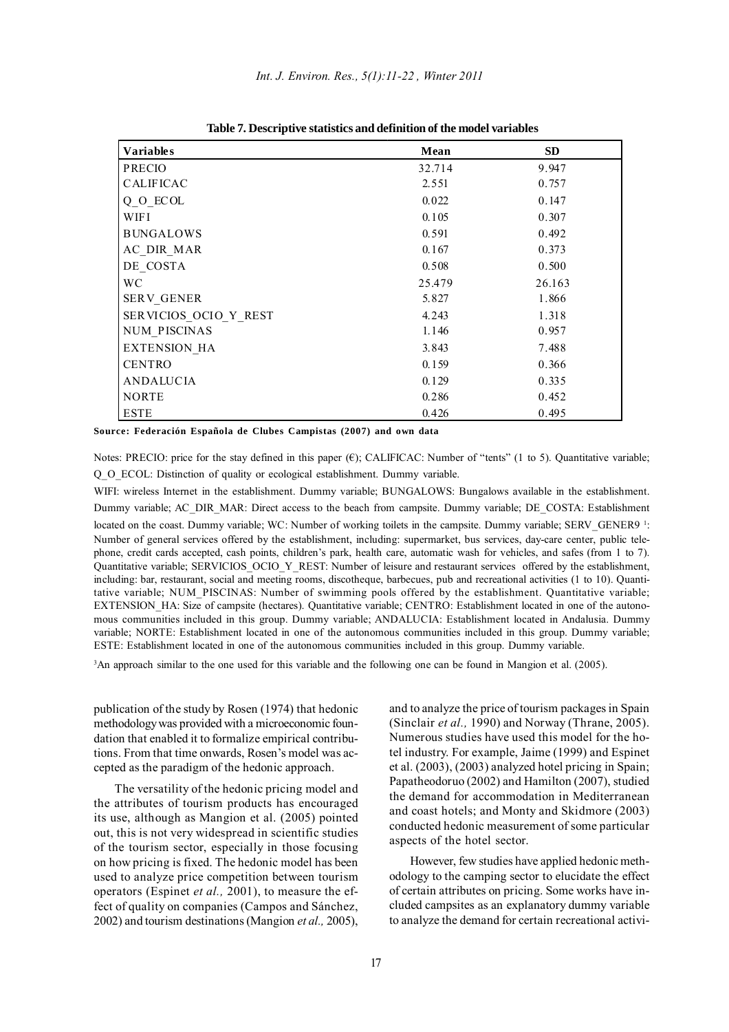| <b>Variables</b>      | Mean   | <b>SD</b> |
|-----------------------|--------|-----------|
| <b>PRECIO</b>         | 32.714 | 9.947     |
| <b>CALIFICAC</b>      | 2.551  | 0.757     |
| Q O ECOL              | 0.022  | 0.147     |
| WIFI                  | 0.105  | 0.307     |
| <b>BUNGALOWS</b>      | 0.591  | 0.492     |
| AC DIR MAR            | 0.167  | 0.373     |
| DE COSTA              | 0.508  | 0.500     |
| WC.                   | 25.479 | 26.163    |
| <b>SERV GENER</b>     | 5.827  | 1.866     |
| SERVICIOS OCIO Y REST | 4.243  | 1.318     |
| NUM PISCINAS          | 1.146  | 0.957     |
| <b>EXTENSION HA</b>   | 3.843  | 7.488     |
| <b>CENTRO</b>         | 0.159  | 0.366     |
| ANDALUCIA             | 0.129  | 0.335     |
| <b>NORTE</b>          | 0.286  | 0.452     |
| <b>ESTE</b>           | 0.426  | 0.495     |

**Table 7. Descriptive statistics and definition of the model variables**

**Source: Federación Española de Clubes Campistas (2007) and own data**

Notes: PRECIO: price for the stay defined in this paper  $(\mathbf{f})$ ; CALIFICAC: Number of "tents" (1 to 5). Quantitative variable; Q\_O\_ECOL: Distinction of quality or ecological establishment. Dummy variable.

WIFI: wireless Internet in the establishment. Dummy variable; BUNGALOWS: Bungalows available in the establishment. Dummy variable; AC\_DIR\_MAR: Direct access to the beach from campsite. Dummy variable; DE\_COSTA: Establishment located on the coast. Dummy variable; WC: Number of working toilets in the campsite. Dummy variable; SERV\_GENER9 <sup>1</sup>: Number of general services offered by the establishment, including: supermarket, bus services, day-care center, public telephone, credit cards accepted, cash points, children's park, health care, automatic wash for vehicles, and safes (from 1 to 7). Quantitative variable; SERVICIOS\_OCIO\_Y\_REST: Number of leisure and restaurant services offered by the establishment, including: bar, restaurant, social and meeting rooms, discotheque, barbecues, pub and recreational activities (1 to 10). Quantitative variable; NUM\_PISCINAS: Number of swimming pools offered by the establishment. Quantitative variable; EXTENSION HA: Size of campsite (hectares). Quantitative variable; CENTRO: Establishment located in one of the autonomous communities included in this group. Dummy variable; ANDALUCIA: Establishment located in Andalusia. Dummy variable; NORTE: Establishment located in one of the autonomous communities included in this group. Dummy variable; ESTE: Establishment located in one of the autonomous communities included in this group. Dummy variable.

3 An approach similar to the one used for this variable and the following one can be found in Mangion et al. (2005).

publication of the study by Rosen (1974) that hedonic methodology was provided with a microeconomic foundation that enabled it to formalize empirical contributions. From that time onwards, Rosen's model was accepted as the paradigm of the hedonic approach.

The versatility of the hedonic pricing model and the attributes of tourism products has encouraged its use, although as Mangion et al. (2005) pointed out, this is not very widespread in scientific studies of the tourism sector, especially in those focusing on how pricing is fixed. The hedonic model has been used to analyze price competition between tourism operators (Espinet *et al.,* 2001), to measure the effect of quality on companies (Campos and Sánchez, 2002) and tourism destinations (Mangion *et al.,* 2005), and to analyze the price of tourism packages in Spain (Sinclair *et al.,* 1990) and Norway (Thrane, 2005). Numerous studies have used this model for the hotel industry. For example, Jaime (1999) and Espinet et al. (2003), (2003) analyzed hotel pricing in Spain; Papatheodoruo (2002) and Hamilton (2007), studied the demand for accommodation in Mediterranean and coast hotels; and Monty and Skidmore (2003) conducted hedonic measurement of some particular aspects of the hotel sector.

However, few studies have applied hedonic methodology to the camping sector to elucidate the effect of certain attributes on pricing. Some works have included campsites as an explanatory dummy variable to analyze the demand for certain recreational activi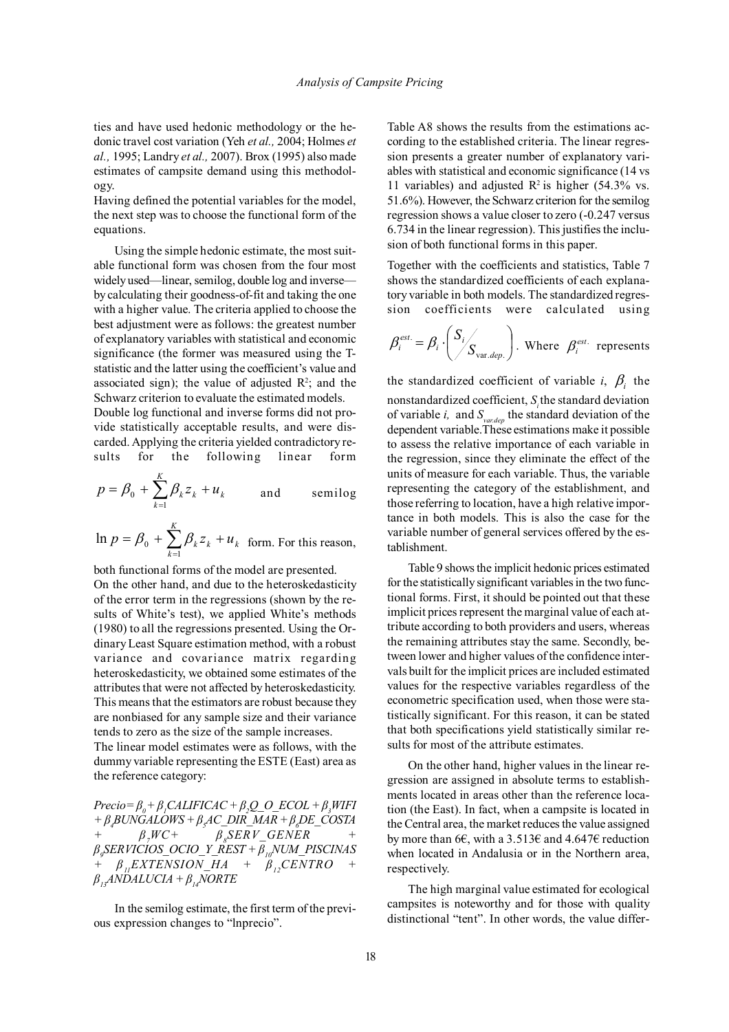ties and have used hedonic methodology or the hedonic travel cost variation (Yeh *et al.,* 2004; Holmes *et al.,* 1995; Landry *et al.,* 2007). Brox (1995) also made estimates of campsite demand using this methodology.

Having defined the potential variables for the model, the next step was to choose the functional form of the equations.

Using the simple hedonic estimate, the most suitable functional form was chosen from the four most widely used—linear, semilog, double log and inverse by calculating their goodness-of-fit and taking the one with a higher value. The criteria applied to choose the best adjustment were as follows: the greatest number of explanatory variables with statistical and economic significance (the former was measured using the Tstatistic and the latter using the coefficient's value and associated sign); the value of adjusted  $\mathbb{R}^2$ ; and the Schwarz criterion to evaluate the estimated models.

Double log functional and inverse forms did not provide statistically acceptable results, and were discarded. Applying the criteria yielded contradictory results for the following linear form

$$
p = \beta_0 + \sum_{k=1}^{K} \beta_k z_k + u_k \quad \text{and} \quad \text{semilog}
$$

*K*

$$
\ln p = \beta_0 + \sum_{k=1}^{K} \beta_k z_k + u_k
$$
 form. For this reason,

both functional forms of the model are presented. On the other hand, and due to the heteroskedasticity of the error term in the regressions (shown by the results of White's test), we applied White's methods (1980) to all the regressions presented. Using the Ordinary Least Square estimation method, with a robust variance and covariance matrix regarding heteroskedasticity, we obtained some estimates of the attributes that were not affected by heteroskedasticity. This means that the estimators are robust because they are nonbiased for any sample size and their variance tends to zero as the size of the sample increases.

The linear model estimates were as follows, with the dummy variable representing the ESTE (East) area as the reference category:

 $Precio = \beta_{0} + \beta_{1}CALIFICAC + \beta_{2}Q\_O\_ECOL + \beta_{3}WIFI$ *+ β<sup>4</sup> BUNGALOWS + β<sup>5</sup> AC\_DIR\_MAR + β<sup>6</sup> DE\_COSTA*  $\beta$ <sub>2</sub> $WC+$  $\beta_s$ *SERV\_GENER β9 SERVICIOS\_OCIO\_Y\_REST + β10NUM\_PISCINAS*  $\beta$  *i*<sub>EXTENSION\_HA +  $\beta$ <sub>12</sub>CENTRO</sub>  $\beta$ <sup>*,ANDALUCIA* +  $\beta$ <sub>*14</sub>NORTE*</sup></sub>

In the semilog estimate, the first term of the previous expression changes to "lnprecio".

Table A8 shows the results from the estimations according to the established criteria. The linear regression presents a greater number of explanatory variables with statistical and economic significance (14 vs 11 variables) and adjusted  $\mathbb{R}^2$  is higher (54.3% vs. 51.6%). However, the Schwarz criterion for the semilog regression shows a value closer to zero (-0.247 versus 6.734 in the linear regression). This justifies the inclusion of both functional forms in this paper.

Together with the coefficients and statistics, Table 7 shows the standardized coefficients of each explanatory variable in both models. The standardized regression coefficients were calculated using

$$
\beta_i^{\text{est.}} = \beta_i \cdot \left( \frac{S_i}{S_{\text{var.dep.}}}\right)
$$
. Where  $\beta_i^{\text{est.}}$  represents

the standardized coefficient of variable *i*,  $\beta$ <sub>*i*</sub> the nonstandardized coefficient, *Si* the standard deviation of variable *i,* and *Svar.dep* the standard deviation of the dependent variable.These estimations make it possible to assess the relative importance of each variable in the regression, since they eliminate the effect of the units of measure for each variable. Thus, the variable representing the category of the establishment, and those referring to location, have a high relative importance in both models. This is also the case for the variable number of general services offered by the establishment.

Table 9 shows the implicit hedonic prices estimated for the statistically significant variables in the two functional forms. First, it should be pointed out that these implicit prices represent the marginal value of each attribute according to both providers and users, whereas the remaining attributes stay the same. Secondly, between lower and higher values of the confidence intervals built for the implicit prices are included estimated values for the respective variables regardless of the econometric specification used, when those were statistically significant. For this reason, it can be stated that both specifications yield statistically similar results for most of the attribute estimates.

On the other hand, higher values in the linear regression are assigned in absolute terms to establishments located in areas other than the reference location (the East). In fact, when a campsite is located in the Central area, the market reduces the value assigned by more than 6 $\epsilon$ , with a 3.513 $\epsilon$  and 4.647 $\epsilon$  reduction when located in Andalusia or in the Northern area, respectively.

The high marginal value estimated for ecological campsites is noteworthy and for those with quality distinctional "tent". In other words, the value differ-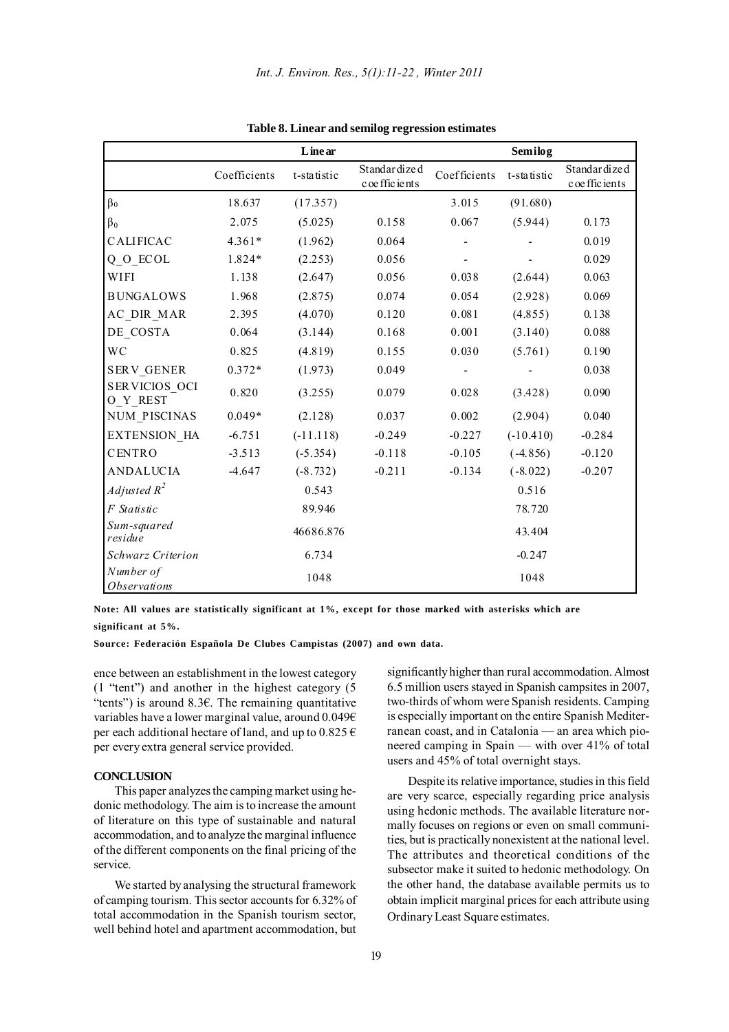|                                         |              | Linear      |                                  |              | Semilog     |                                 |
|-----------------------------------------|--------------|-------------|----------------------------------|--------------|-------------|---------------------------------|
|                                         | Coefficients | t-statistic | Standardized<br>c oe ffic ie nts | Coefficients | t-statistic | Standardized<br>c oe ffic ients |
| $\beta_0$                               | 18.637       | (17.357)    |                                  | 3.015        | (91.680)    |                                 |
| $\beta_0$                               | 2.075        | (5.025)     | 0.158                            | 0.067        | (5.944)     | 0.173                           |
| <b>CALIFICAC</b>                        | $4.361*$     | (1.962)     | 0.064                            |              |             | 0.019                           |
| $Q_0$ _ECOL                             | 1.824*       | (2.253)     | 0.056                            |              |             | 0.029                           |
| WIFI                                    | 1.138        | (2.647)     | 0.056                            | 0.038        | (2.644)     | 0.063                           |
| <b>BUNGALOWS</b>                        | 1.968        | (2.875)     | 0.074                            | 0.054        | (2.928)     | 0.069                           |
| AC_DIR_MAR                              | 2.395        | (4.070)     | 0.120                            | 0.081        | (4.855)     | 0.138                           |
| DE_COSTA                                | 0.064        | (3.144)     | 0.168                            | 0.001        | (3.140)     | 0.088                           |
| <b>WC</b>                               | 0.825        | (4.819)     | 0.155                            | 0.030        | (5.761)     | 0.190                           |
| <b>SERV GENER</b>                       | $0.372*$     | (1.973)     | 0.049                            |              |             | 0.038                           |
| SERVICIOS OCI<br>O Y REST               | 0.820        | (3.255)     | 0.079                            | 0.028        | (3.428)     | 0.090                           |
| NUM PISCINAS                            | $0.049*$     | (2.128)     | 0.037                            | 0.002        | (2.904)     | 0.040                           |
| <b>EXTENSION HA</b>                     | $-6.751$     | $(-11.118)$ | $-0.249$                         | $-0.227$     | $(-10.410)$ | $-0.284$                        |
| <b>CENTRO</b>                           | $-3.513$     | $(-5.354)$  | $-0.118$                         | $-0.105$     | $(-4.856)$  | $-0.120$                        |
| <b>ANDALUCIA</b>                        | $-4.647$     | $(-8.732)$  | $-0.211$                         | $-0.134$     | $(-8.022)$  | $-0.207$                        |
| Adjusted $R^2$                          |              | 0.543       |                                  |              | 0.516       |                                 |
| F Statistic                             |              | 89.946      |                                  |              | 78.720      |                                 |
| Sum-squared<br>residue                  |              | 46686.876   |                                  |              | 43.404      |                                 |
| Schwarz Criterion                       |              | 6.734       |                                  |              | $-0.247$    |                                 |
| Number of<br><i><b>Observations</b></i> |              | 1048        |                                  |              | 1048        |                                 |

**Table 8. Linear and semilog regression estimates**

**Note: All values are statistically significant at 1%, except for those marked with asterisks which are significant at 5%.**

**Source: Federación Española De Clubes Campistas (2007) and own data.**

ence between an establishment in the lowest category (1 "tent") and another in the highest category (5 "tents") is around 8.3€. The remaining quantitative variables have a lower marginal value, around 0.049€ per each additional hectare of land, and up to  $0.825 \in$ per every extra general service provided.

### **CONCLUSION**

This paper analyzes the camping market using hedonic methodology. The aim is to increase the amount of literature on this type of sustainable and natural accommodation, and to analyze the marginal influence of the different components on the final pricing of the service.

We started by analysing the structural framework of camping tourism. This sector accounts for 6.32% of total accommodation in the Spanish tourism sector, well behind hotel and apartment accommodation, but

significantly higher than rural accommodation. Almost 6.5 million users stayed in Spanish campsites in 2007, two-thirds of whom were Spanish residents. Camping is especially important on the entire Spanish Mediterranean coast, and in Catalonia — an area which pioneered camping in Spain — with over 41% of total users and 45% of total overnight stays.

Despite its relative importance, studies in this field are very scarce, especially regarding price analysis using hedonic methods. The available literature normally focuses on regions or even on small communities, but is practically nonexistent at the national level. The attributes and theoretical conditions of the subsector make it suited to hedonic methodology. On the other hand, the database available permits us to obtain implicit marginal prices for each attribute using Ordinary Least Square estimates.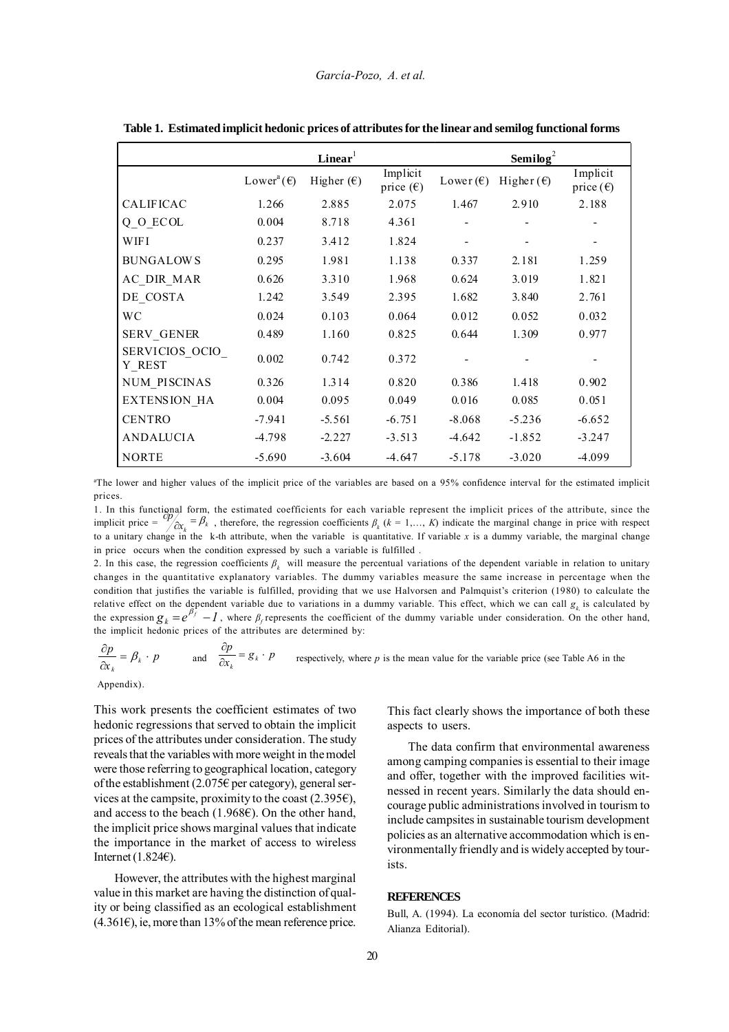|                          |                                 | Linear <sup>1</sup> |                                | Semilog <sup>2</sup> |                     |                                |  |
|--------------------------|---------------------------------|---------------------|--------------------------------|----------------------|---------------------|--------------------------------|--|
|                          | Lower <sup>a</sup> $(\epsilon)$ | Higher $(\epsilon)$ | Implicit<br>price $(\epsilon)$ | Lower $(\epsilon)$   | Higher $(\epsilon)$ | Implicit<br>price $(\epsilon)$ |  |
| <b>CALIFICAC</b>         | 1.266                           | 2.885               | 2.075                          | 1.467                | 2.910               | 2.188                          |  |
| $Q_0$ ECOL               | 0.004                           | 8.718               | 4.361                          |                      |                     |                                |  |
| WIFI                     | 0.237                           | 3.412               | 1.824                          |                      |                     |                                |  |
| <b>BUNGALOWS</b>         | 0.295                           | 1.981               | 1.138                          | 0.337                | 2.181               | 1.259                          |  |
| AC DIR MAR               | 0.626                           | 3.310               | 1.968                          | 0.624                | 3.019               | 1.821                          |  |
| DE COSTA                 | 1.242                           | 3.549               | 2.395                          | 1.682                | 3.840               | 2.761                          |  |
| <b>WC</b>                | 0.024                           | 0.103               | 0.064                          | 0.012                | 0.052               | 0.032                          |  |
| <b>SERV GENER</b>        | 0.489                           | 1.160               | 0.825                          | 0.644                | 1.309               | 0.977                          |  |
| SERVICIOS OCIO<br>Y REST | 0.002                           | 0.742               | 0.372                          |                      |                     |                                |  |
| NUM PISCINAS             | 0.326                           | 1.314               | 0.820                          | 0.386                | 1.418               | 0.902                          |  |
| <b>EXTENSION HA</b>      | 0.004                           | 0.095               | 0.049                          | 0.016                | 0.085               | 0.051                          |  |
| <b>CENTRO</b>            | $-7.941$                        | $-5.561$            | $-6.751$                       | $-8.068$             | $-5.236$            | $-6.652$                       |  |
| <b>ANDALUCIA</b>         | $-4.798$                        | $-2.227$            | $-3.513$                       | $-4.642$             | $-1.852$            | $-3.247$                       |  |
| <b>NORTE</b>             | $-5.690$                        | $-3.604$            | $-4.647$                       | $-5.178$             | $-3.020$            | $-4.099$                       |  |

**Table 1. Estimated implicit hedonic prices of attributes for the linear and semilog functional forms**

a The lower and higher values of the implicit price of the variables are based on a 95% confidence interval for the estimated implicit prices.

1. In this functional form, the estimated coefficients for each variable represent the implicit prices of the attribute, since the implicit price =  $\frac{\partial p}{\partial x_k} = \beta_k$ , therefore, the regression coefficients  $\beta_k$  ( $k = 1,..., K$ to a unitary change in the k-th attribute, when the variable is quantitative. If variable *x* is a dummy variable, the marginal change in price occurs when the condition expressed by such a variable is fulfilled .

2. In this case, the regression coefficients *β<sup>k</sup>* will measure the percentual variations of the dependent variable in relation to unitary changes in the quantitative explanatory variables. The dummy variables measure the same increase in percentage when the condition that justifies the variable is fulfilled, providing that we use Halvorsen and Palmquist's criterion (1980) to calculate the relative effect on the dependent variable due to variations in a dummy variable. This effect, which we can call  $g_k$  is calculated by the expression  $g_k = e^{\beta_f} - I$ , where  $\beta_f$  represents the coefficient of the dummy variable under consideration. On the other hand, the implicit hedonic prices of the attributes are determined by:

 $\frac{\partial p}{\partial x_k} = \beta_k \cdot p$  and  $\frac{\partial p}{\partial x_k} = g_k \cdot p$ respectively, where *p* is the mean value for the variable price (see Table A6 in the

Appendix).

This work presents the coefficient estimates of two hedonic regressions that served to obtain the implicit prices of the attributes under consideration. The study reveals that the variables with more weight in the model were those referring to geographical location, category of the establishment (2.075€ per category), general services at the campsite, proximity to the coast (2.395€), and access to the beach (1.968 $\varepsilon$ ). On the other hand, the implicit price shows marginal values that indicate the importance in the market of access to wireless Internet  $(1.824E)$ .

However, the attributes with the highest marginal value in this market are having the distinction of quality or being classified as an ecological establishment  $(4.361\epsilon)$ , ie, more than 13% of the mean reference price. This fact clearly shows the importance of both these aspects to users.

The data confirm that environmental awareness among camping companies is essential to their image and offer, together with the improved facilities witnessed in recent years. Similarly the data should encourage public administrations involved in tourism to include campsites in sustainable tourism development policies as an alternative accommodation which is environmentally friendly and is widely accepted by tourists.

## **REFERENCES**

Bull, A. (1994). La economía del sector turístico. (Madrid: Alianza Editorial).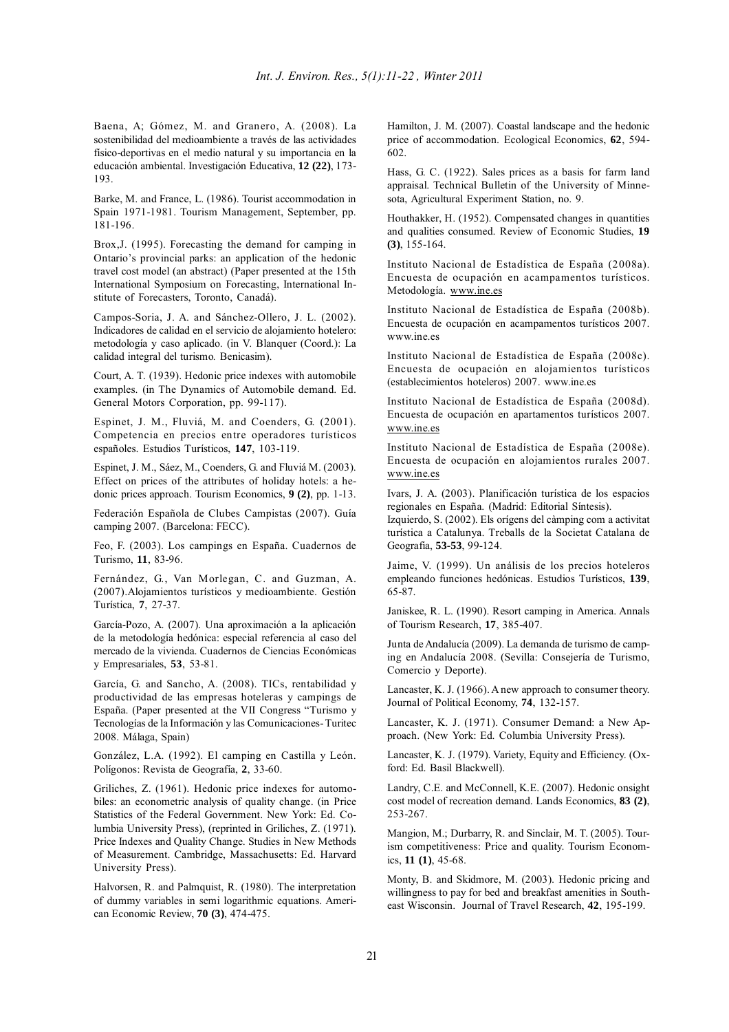Baena, A; Gómez, M. and Granero, A. (2008). La sostenibilidad del medioambiente a través de las actividades físico-deportivas en el medio natural y su importancia en la educación ambiental. Investigación Educativa, **12 (22)**, 173- 193.

Barke, M. and France, L. (1986). Tourist accommodation in Spain 1971-1981. Tourism Management, September, pp. 181-196.

Brox,J. (1995). Forecasting the demand for camping in Ontario's provincial parks: an application of the hedonic travel cost model (an abstract) (Paper presented at the 15th International Symposium on Forecasting, International Institute of Forecasters, Toronto, Canadá).

Campos-Soria, J. A. and Sánchez-Ollero, J. L. (2002). Indicadores de calidad en el servicio de alojamiento hotelero: metodología y caso aplicado. (in V. Blanquer (Coord.): La calidad integral del turismo*.* Benicasim).

Court, A. T. (1939). Hedonic price indexes with automobile examples. (in The Dynamics of Automobile demand. Ed. General Motors Corporation, pp. 99-117).

Espinet, J. M., Fluviá, M. and Coenders, G. (2001). Competencia en precios entre operadores turísticos españoles. Estudios Turísticos, **147**, 103-119.

Espinet, J. M., Sáez, M., Coenders, G. and Fluviá M. (2003). Effect on prices of the attributes of holiday hotels: a hedonic prices approach. Tourism Economics, **9 (2)**, pp. 1-13.

Federación Española de Clubes Campistas (2007). Guía camping 2007. (Barcelona: FECC).

Feo, F. (2003). Los campings en España. Cuadernos de Turismo, **11**, 83-96.

Fernández, G., Van Morlegan, C. and Guzman, A. (2007).Alojamientos turísticos y medioambiente. Gestión Turística, **7**, 27-37.

García-Pozo, A. (2007). Una aproximación a la aplicación de la metodología hedónica: especial referencia al caso del mercado de la vivienda. Cuadernos de Ciencias Económicas y Empresariales, **53**, 53-81.

García, G. and Sancho, A. (2008). TICs, rentabilidad y productividad de las empresas hoteleras y campings de España. (Paper presented at the VII Congress "Turismo y Tecnologías de la Información y las Comunicaciones- Turitec 2008. Málaga, Spain)

González, L.A. (1992). El camping en Castilla y León. Polígonos: Revista de Geografía, **2**, 33-60.

Griliches, Z. (1961). Hedonic price indexes for automobiles: an econometric analysis of quality change. (in Price Statistics of the Federal Government. New York: Ed. Columbia University Press), (reprinted in Griliches, Z. (1971). Price Indexes and Quality Change. Studies in New Methods of Measurement. Cambridge, Massachusetts: Ed. Harvard University Press).

Halvorsen, R. and Palmquist, R. (1980). The interpretation of dummy variables in semi logarithmic equations. American Economic Review, **70 (3)**, 474-475.

Hamilton, J. M. (2007). Coastal landscape and the hedonic price of accommodation. Ecological Economics, **62**, 594- 602.

Hass, G. C. (1922). Sales prices as a basis for farm land appraisal. Technical Bulletin of the University of Minnesota, Agricultural Experiment Station, no. 9.

Houthakker, H. (1952). Compensated changes in quantities and qualities consumed. Review of Economic Studies, **19 (3)**, 155-164.

Instituto Nacional de Estadística de España (2008a). Encuesta de ocupación en acampamentos turísticos. Metodología. www.ine.es

Instituto Nacional de Estadística de España (2008b). Encuesta de ocupación en acampamentos turísticos 2007. www.ine.es

Instituto Nacional de Estadística de España (2008c). Encuesta de ocupación en alojamientos turísticos (establecimientos hoteleros) 2007. www.ine.es

Instituto Nacional de Estadística de España (2008d). Encuesta de ocupación en apartamentos turísticos 2007. www.ine.es

Instituto Nacional de Estadística de España (2008e). Encuesta de ocupación en alojamientos rurales 2007. www.ine.es

Ivars, J. A. (2003). Planificación turística de los espacios regionales en España. (Madrid: Editorial Síntesis).

Izquierdo, S. (2002). Els orígens del càmping com a activitat turística a Catalunya. Treballs de la Societat Catalana de Geografia, **53-53**, 99-124.

Jaime, V. (1999). Un análisis de los precios hoteleros empleando funciones hedónicas. Estudios Turísticos, **139**, 65-87.

Janiskee, R. L. (1990). Resort camping in America. Annals of Tourism Research, **17**, 385-407.

Junta de Andalucía (2009). La demanda de turismo de camping en Andalucía 2008. (Sevilla: Consejería de Turismo, Comercio y Deporte).

Lancaster, K. J. (1966). A new approach to consumer theory. Journal of Political Economy, **74**, 132-157.

Lancaster, K. J. (1971). Consumer Demand: a New Approach. (New York: Ed. Columbia University Press).

Lancaster, K. J. (1979). Variety, Equity and Efficiency. (Oxford: Ed. Basil Blackwell).

Landry, C.E. and McConnell, K.E. (2007). Hedonic onsight cost model of recreation demand. Lands Economics, **83 (2)**, 253-267.

Mangion, M.; Durbarry, R. and Sinclair, M. T. (2005). Tourism competitiveness: Price and quality. Tourism Economics, **11 (1)**, 45-68.

Monty, B. and Skidmore, M. (2003). Hedonic pricing and willingness to pay for bed and breakfast amenities in Southeast Wisconsin. Journal of Travel Research, **42**, 195-199.